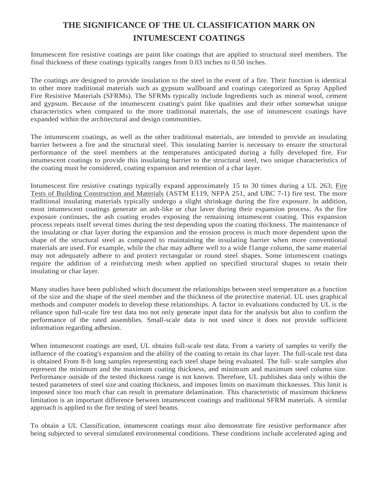## **THE SIGNIFICANCE OF THE UL CLASSIFICATION MARK ON INTUMESCENT COATINGS**

Intumescent fire resistive coatings are paint like coatings that are applied to structural steel members. The final thickness of these coatings typically ranges from 0.03 inches to 0.50 inches.

The coatings are designed to provide insulation to the steel in the event of a fire. Their function is identical to other more traditional materials such as gypsum wallboard and coatings categorized as Spray Applied Fire Resistive Materials (SFRMs). The SFRMs typically include Ingredients such as mineral wool, cement and gypsum. Because of the intumescent coating's paint like qualities and their other somewhat unique characteristics when compared to the more traditional materials, the use of intumescent coatings have expanded within the architectural and design communities.

The intumescent coatings, as well as the other traditional materials, are intended to provide an insulating barrier between a fire and the structural steel. This insulating barrier is necessary to ensure the structural performance of the steel members at the temperatures anticipated during a fully developed fire. For intumescent coatings to provide this insulating barrier to the structural steel, two unique characteristics of the coating must be considered, coating expansion and retention of a char layer.

Intumescent fire resistive coatings typically expand approximately 15 to 30 times during a UL 263; Fire Tests of Building Construction and Materials (ASTM E119, NFPA 251, and UBC 7-1) fire test. The more traditional insulating materials typically undergo a slight shrinkage during the fire exposure. ln addition, most intumescent coatings generate an ash-like or char laver during their expansion process. As the fire exposure continues, the ash coating erodes exposing the remaining intumescent coating. This expansion process repeats itself several times during the test depending upon the coating thickness. The maintenance of the insulating or char layer during the expansion and the erosion process is much more dependent upon the shape of the structural steel as compared to rnaintaining the insulating barrier when more conventional rnaterials are used. For example, while the char may adhere well to a wide f1ange column, the same material may not adequately adhere to and protect rectangular or round steel shapes. Some intumescent coatings require the addition of a reinforcing mesh when applied on specified structural shapes to retain their insulating or char layer.

Many studies have been published which document the relationships between steel temperature as a function of the size and the shape of the steel member and the thickness of the protective material. UL uses graphical methods and computer models to develop these relationships. A factor in evaluations conducted by UL is the reliance upon full-scale fire test data too not only generate input data for the analysis but also to confirm the performance of the rated assemblies. Small-scale data is not used since it does not provide sufficient information regarding adhesion.

When intumescent coatings are used, UL obtains full-scale test data. From a variety of samples to verify the influence of the coating's expansion and the ability of the coating to retain its char layer. The full-scale test data is obtained From 8-ft long samples representing each steel shape being evaluated. The full- scale samples also represent the minimum and the maximum coating thickness, and minimum and maximum steel column size. Performance outside of the tested thickness range is not known. Therefore, UL publishes data only within the tested parameters of steel size and coating thickness, and imposes limits on maximum thicknesses. This limit is imposed since too much char can result in premature delamination. This characteristic of maximum thickness limitation is an important difference between intumescent coatings and traditional SFRM materials. A sirmilar approach is applied to the fire testing of steel beams.

To obtain a UL Classification, intumescent coatings must also demonstrate fire resistive performance after being subjected to several simulated environmental conditions. These conditions include accelerated aging and